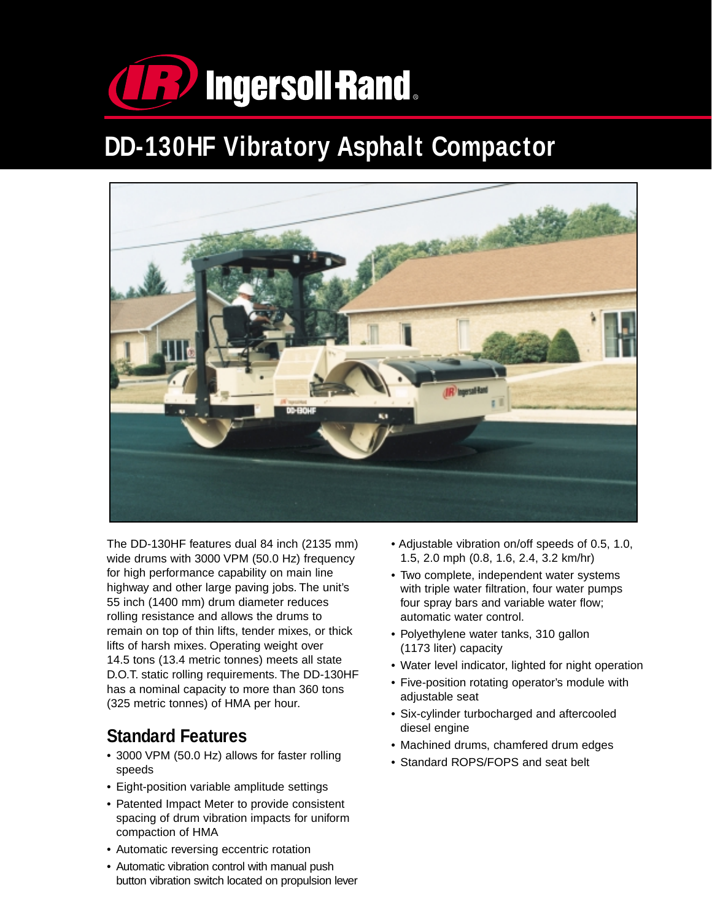

# **DD-130HF Vibratory Asphalt Compactor**



The DD-130HF features dual 84 inch (2135 mm) wide drums with 3000 VPM (50.0 Hz) frequency for high performance capability on main line highway and other large paving jobs. The unit's 55 inch (1400 mm) drum diameter reduces rolling resistance and allows the drums to remain on top of thin lifts, tender mixes, or thick lifts of harsh mixes. Operating weight over 14.5 tons (13.4 metric tonnes) meets all state D.O.T. static rolling requirements. The DD-130HF has a nominal capacity to more than 360 tons (325 metric tonnes) of HMA per hour.

## **Standard Features**

- 3000 VPM (50.0 Hz) allows for faster rolling speeds
- Eight-position variable amplitude settings
- Patented Impact Meter to provide consistent spacing of drum vibration impacts for uniform compaction of HMA
- Automatic reversing eccentric rotation
- Automatic vibration control with manual push button vibration switch located on propulsion lever
- Adjustable vibration on/off speeds of 0.5, 1.0, 1.5, 2.0 mph (0.8, 1.6, 2.4, 3.2 km/hr)
- Two complete, independent water systems with triple water filtration, four water pumps four spray bars and variable water flow; automatic water control.
- Polyethylene water tanks, 310 gallon (1173 liter) capacity
- Water level indicator, lighted for night operation
- Five-position rotating operator's module with adjustable seat
- Six-cylinder turbocharged and aftercooled diesel engine
- Machined drums, chamfered drum edges
- Standard ROPS/FOPS and seat belt